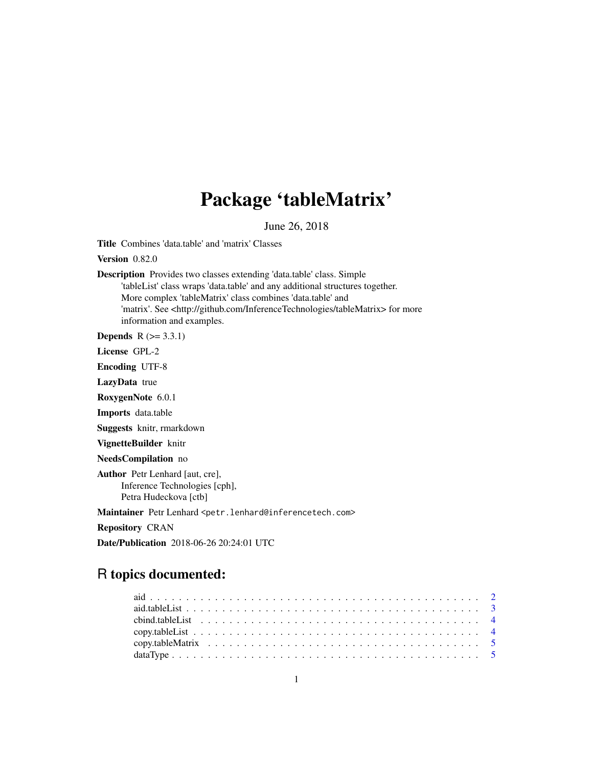## Package 'tableMatrix'

June 26, 2018

Title Combines 'data.table' and 'matrix' Classes

Version 0.82.0

Description Provides two classes extending 'data.table' class. Simple 'tableList' class wraps 'data.table' and any additional structures together. More complex 'tableMatrix' class combines 'data.table' and 'matrix'. See <http://github.com/InferenceTechnologies/tableMatrix> for more information and examples.

**Depends**  $R$  ( $>= 3.3.1$ )

License GPL-2

Encoding UTF-8

LazyData true

RoxygenNote 6.0.1

Imports data.table

Suggests knitr, rmarkdown

VignetteBuilder knitr

NeedsCompilation no

Author Petr Lenhard [aut, cre], Inference Technologies [cph], Petra Hudeckova [ctb]

Maintainer Petr Lenhard <petr.lenhard@inferencetech.com>

Repository CRAN

Date/Publication 2018-06-26 20:24:01 UTC

## R topics documented: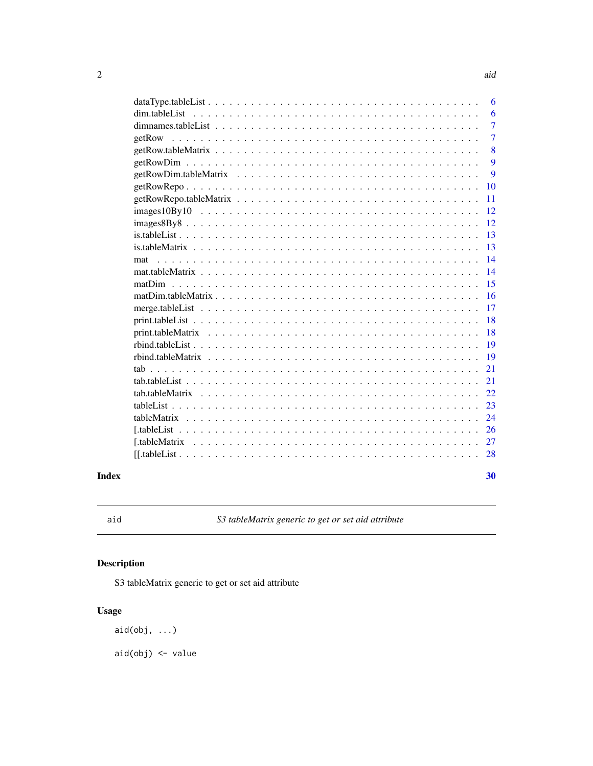<span id="page-1-0"></span>

|                | 6  |
|----------------|----|
|                | 6  |
|                | 7  |
| getRow         | 7  |
|                | 8  |
|                | 9  |
|                | 9  |
|                | 10 |
|                | 11 |
| $images10By10$ | 12 |
| $images8By8$   | 12 |
|                | 13 |
|                | 13 |
| mat            | 14 |
|                | 14 |
|                | 15 |
|                | 16 |
|                | 17 |
|                | 18 |
|                | 18 |
|                | 19 |
|                | 19 |
|                | 21 |
|                | 21 |
|                | 22 |
|                | 23 |
|                | 24 |
|                | 26 |
|                |    |
|                | 28 |
|                |    |

#### $\bf 30$  $\bf 30$

aid *S3 tableMatrix generic to get or set aid attribute*

### Description

S3 tableMatrix generic to get or set aid attribute

### Usage

aid(obj, ...)

aid(obj) <- value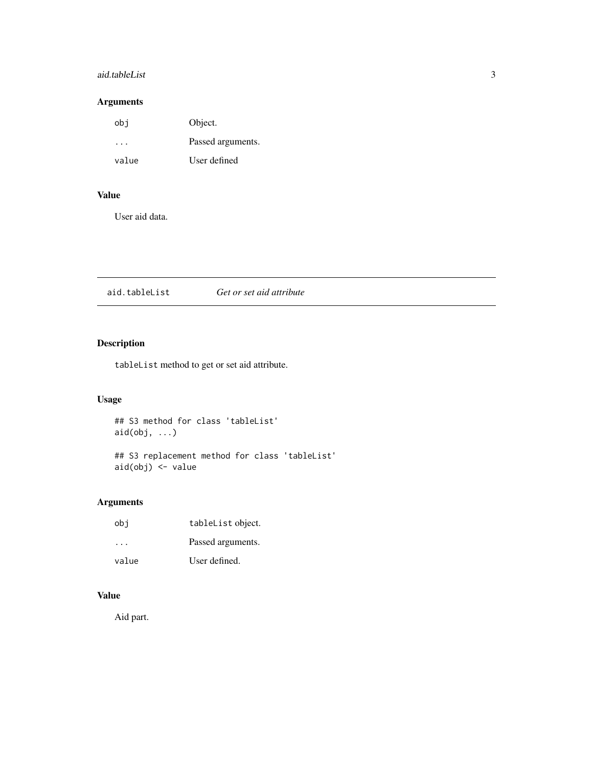### <span id="page-2-0"></span>aid.tableList 3

### Arguments

| obj   | Object.           |
|-------|-------------------|
|       | Passed arguments. |
| value | User defined      |

### Value

User aid data.

| aid.tableList | Get or set aid attribute |  |
|---------------|--------------------------|--|
|---------------|--------------------------|--|

### Description

tableList method to get or set aid attribute.

### Usage

## S3 method for class 'tableList'  $aid(obj, ...)$ 

## S3 replacement method for class 'tableList' aid(obj) <- value

### Arguments

| obi   | tableList object. |
|-------|-------------------|
| .     | Passed arguments. |
| value | User defined.     |

### Value

Aid part.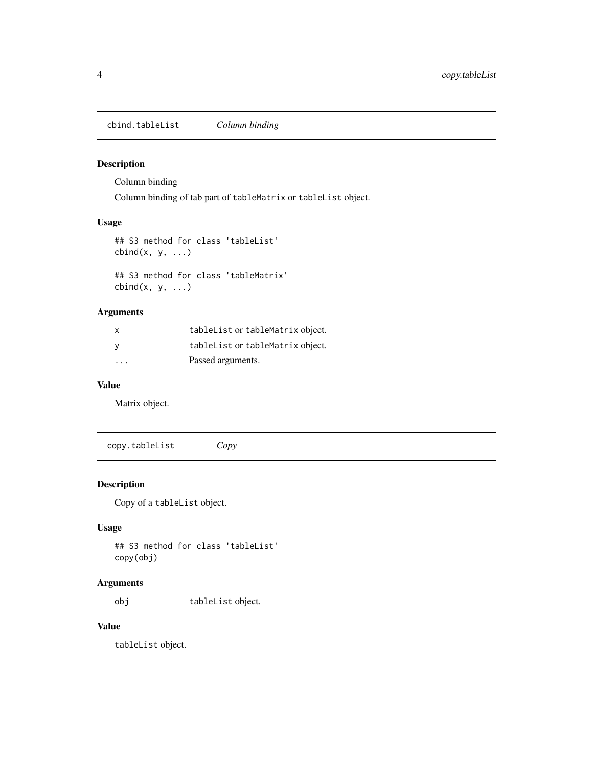<span id="page-3-0"></span>cbind.tableList *Column binding*

### Description

Column binding

Column binding of tab part of tableMatrix or tableList object.

### Usage

```
## S3 method for class 'tableList'
cbind(x, y, ...)
```
## S3 method for class 'tableMatrix'  $cbind(x, y, ...)$ 

### Arguments

| X                       | tableList or tableMatrix object. |
|-------------------------|----------------------------------|
| - V                     | tableList or tableMatrix object. |
| $\cdot$ $\cdot$ $\cdot$ | Passed arguments.                |

### Value

Matrix object.

copy.tableList *Copy*

### Description

Copy of a tableList object.

### Usage

```
## S3 method for class 'tableList'
copy(obj)
```
### Arguments

obj tableList object.

### Value

tableList object.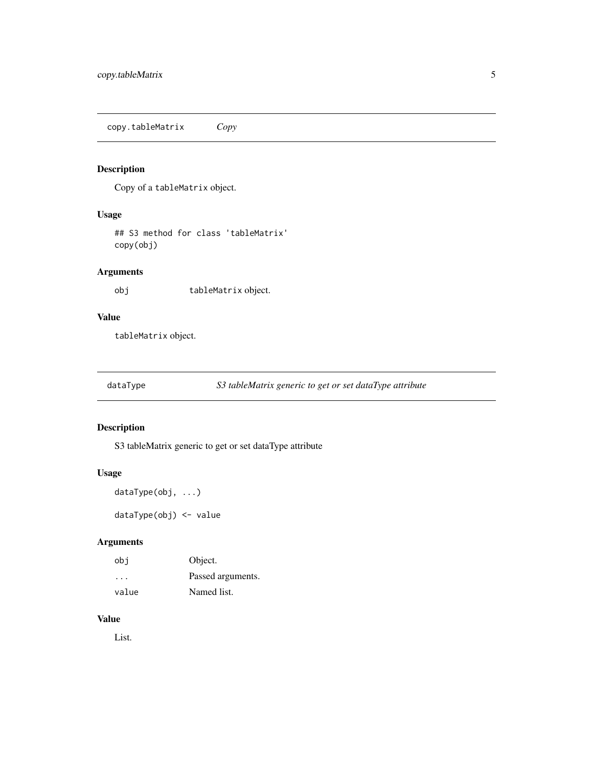<span id="page-4-0"></span>copy.tableMatrix *Copy*

### Description

Copy of a tableMatrix object.

### Usage

## S3 method for class 'tableMatrix' copy(obj)

### Arguments

obj tableMatrix object.

### Value

tableMatrix object.

dataType *S3 tableMatrix generic to get or set dataType attribute*

### Description

S3 tableMatrix generic to get or set dataType attribute

### Usage

```
dataType(obj, ...)
```
dataType(obj) <- value

### Arguments

| obi                     | Object.           |
|-------------------------|-------------------|
| $\cdot$ $\cdot$ $\cdot$ | Passed arguments. |
| value                   | Named list.       |

### Value

List.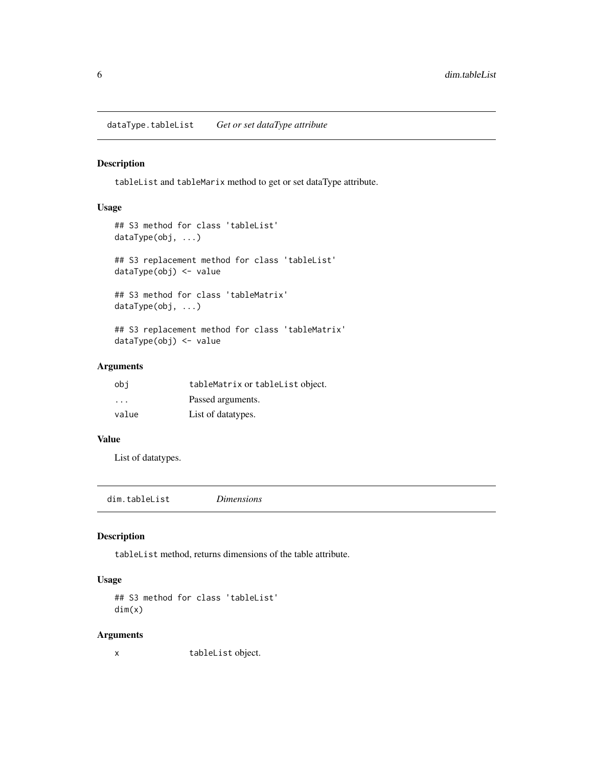<span id="page-5-0"></span>dataType.tableList *Get or set dataType attribute*

#### Description

tableList and tableMarix method to get or set dataType attribute.

### Usage

```
## S3 method for class 'tableList'
dataType(obj, ...)
## S3 replacement method for class 'tableList'
dataType(obj) <- value
## S3 method for class 'tableMatrix'
dataType(obj, ...)
## S3 replacement method for class 'tableMatrix'
dataType(obj) <- value
```
### Arguments

| obi                     | tableMatrix or tableList object. |
|-------------------------|----------------------------------|
| $\cdot$ $\cdot$ $\cdot$ | Passed arguments.                |
| value                   | List of datatypes.               |

#### Value

List of datatypes.

<span id="page-5-1"></span>dim.tableList *Dimensions*

### Description

tableList method, returns dimensions of the table attribute.

### Usage

```
## S3 method for class 'tableList'
dim(x)
```
#### Arguments

x tableList object.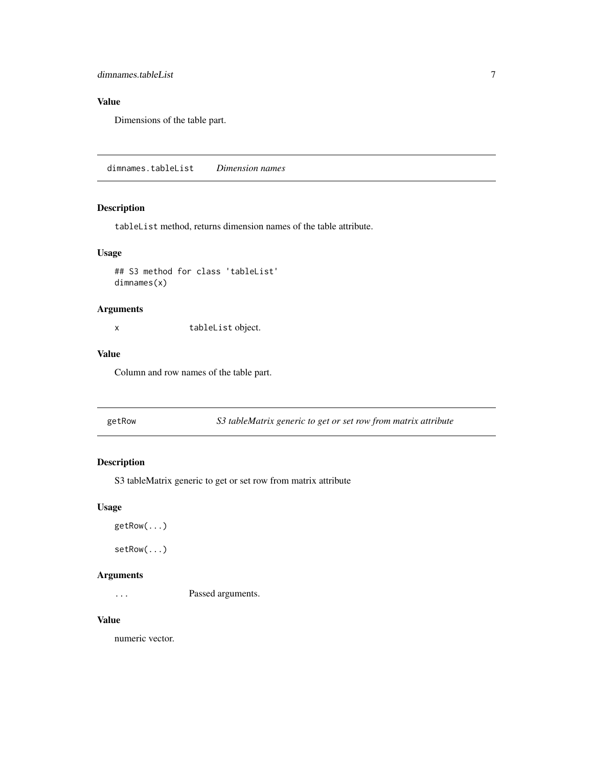### <span id="page-6-0"></span>dimnames.tableList 7

### Value

Dimensions of the table part.

<span id="page-6-1"></span>dimnames.tableList *Dimension names*

### Description

tableList method, returns dimension names of the table attribute.

### Usage

```
## S3 method for class 'tableList'
dimnames(x)
```
### Arguments

x tableList object.

### Value

Column and row names of the table part.

getRow *S3 tableMatrix generic to get or set row from matrix attribute*

### Description

S3 tableMatrix generic to get or set row from matrix attribute

### Usage

```
getRow(...)
```
setRow(...)

### Arguments

... Passed arguments.

#### Value

numeric vector.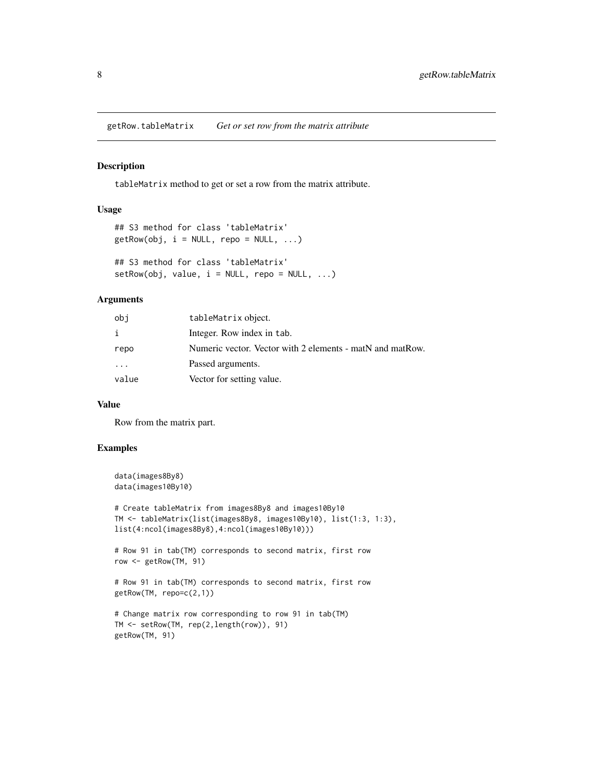<span id="page-7-0"></span>getRow.tableMatrix *Get or set row from the matrix attribute*

#### Description

tableMatrix method to get or set a row from the matrix attribute.

#### Usage

```
## S3 method for class 'tableMatrix'
getRow(obj, i = NULL, repo = NULL, ...)## S3 method for class 'tableMatrix'
setRow(obj, value, i = NULL, repo = NULL, ...)
```
### Arguments

| obj   | tableMatrix object.                                       |
|-------|-----------------------------------------------------------|
|       | Integer. Row index in tab.                                |
| repo  | Numeric vector. Vector with 2 elements - matN and matRow. |
| .     | Passed arguments.                                         |
| value | Vector for setting value.                                 |

### Value

Row from the matrix part.

### Examples

```
data(images8By8)
data(images10By10)
# Create tableMatrix from images8By8 and images10By10
TM <- tableMatrix(list(images8By8, images10By10), list(1:3, 1:3),
list(4:ncol(images8By8),4:ncol(images10By10)))
# Row 91 in tab(TM) corresponds to second matrix, first row
row <- getRow(TM, 91)
# Row 91 in tab(TM) corresponds to second matrix, first row
getRow(TM, repo=c(2,1))
# Change matrix row corresponding to row 91 in tab(TM)
TM <- setRow(TM, rep(2,length(row)), 91)
getRow(TM, 91)
```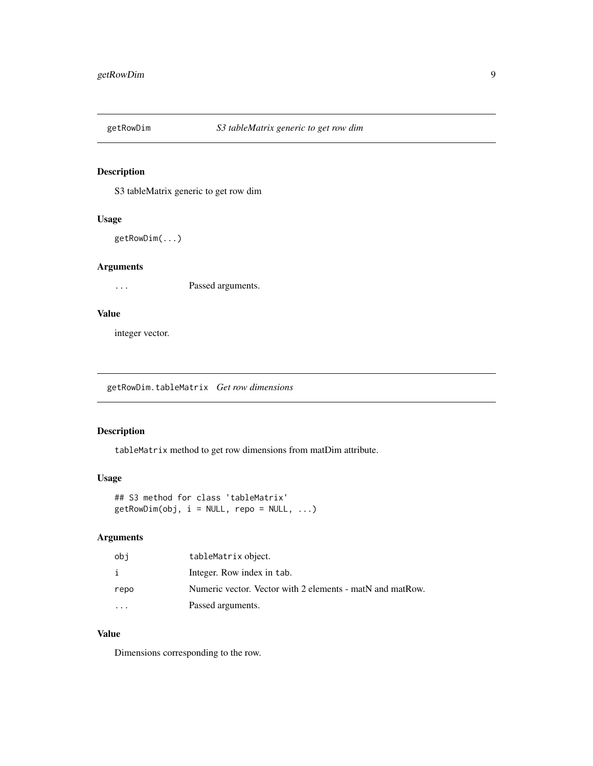<span id="page-8-0"></span>

S3 tableMatrix generic to get row dim

### Usage

getRowDim(...)

### Arguments

... Passed arguments.

### Value

integer vector.

<span id="page-8-1"></span>getRowDim.tableMatrix *Get row dimensions*

### Description

tableMatrix method to get row dimensions from matDim attribute.

### Usage

```
## S3 method for class 'tableMatrix'
getRowDim(obj, i = NULL, repo = NULL, ...)
```
### Arguments

| obi      | tableMatrix object.                                       |
|----------|-----------------------------------------------------------|
|          | Integer. Row index in tab.                                |
| repo     | Numeric vector. Vector with 2 elements - matN and matRow. |
| $\cdots$ | Passed arguments.                                         |

### Value

Dimensions corresponding to the row.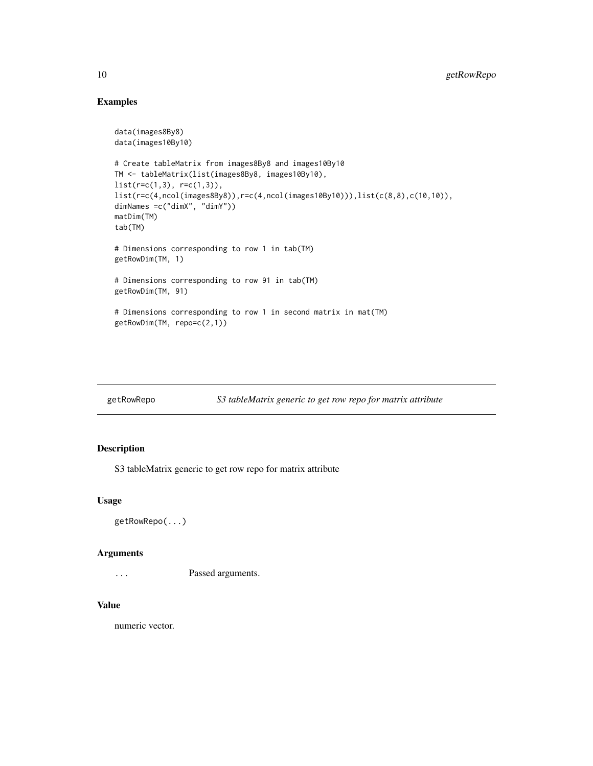### Examples

```
data(images8By8)
data(images10By10)
# Create tableMatrix from images8By8 and images10By10
TM <- tableMatrix(list(images8By8, images10By10),
list(r=c(1,3), r=c(1,3)),list(r=c(4,ncol(images8By8)),r=c(4,ncol(images10By10))),list(c(8,8),c(10,10)),
dimNames =c("dimX", "dimY"))
matDim(TM)
tab(TM)
# Dimensions corresponding to row 1 in tab(TM)
getRowDim(TM, 1)
# Dimensions corresponding to row 91 in tab(TM)
getRowDim(TM, 91)
# Dimensions corresponding to row 1 in second matrix in mat(TM)
getRowDim(TM, repo=c(2,1))
```

| getRowRepo | S3 tableMatrix generic to get row repo for matrix attribute |
|------------|-------------------------------------------------------------|
|            |                                                             |

### Description

S3 tableMatrix generic to get row repo for matrix attribute

#### Usage

```
getRowRepo(...)
```
### Arguments

... Passed arguments.

#### Value

numeric vector.

<span id="page-9-0"></span>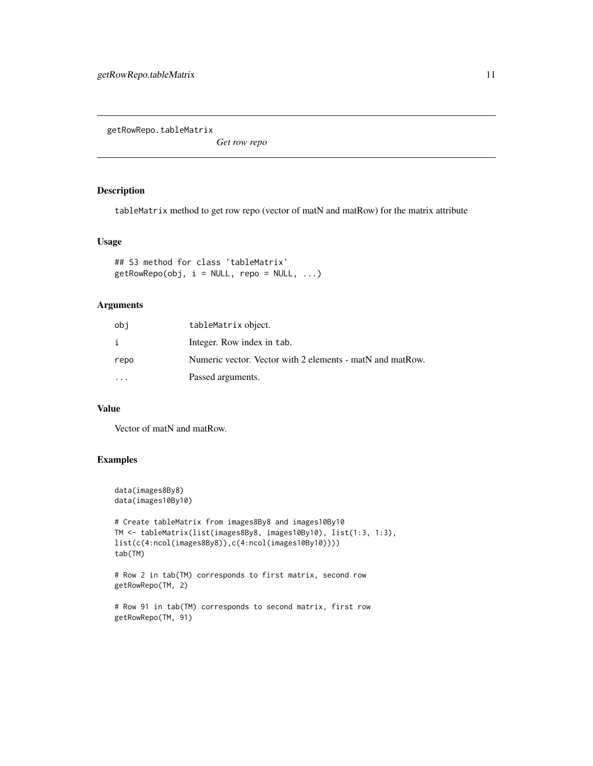<span id="page-10-1"></span><span id="page-10-0"></span>getRowRepo.tableMatrix

*Get row repo*

### Description

tableMatrix method to get row repo (vector of matN and matRow) for the matrix attribute

#### Usage

```
## S3 method for class 'tableMatrix'
getRowRepo(obj, i = NULL, repo = NULL, ...)
```
### Arguments

| obi      | tableMatrix object.                                       |
|----------|-----------------------------------------------------------|
| i        | Integer. Row index in tab.                                |
| repo     | Numeric vector. Vector with 2 elements - matN and matRow. |
| $\cdots$ | Passed arguments.                                         |

### Value

Vector of matN and matRow.

### Examples

```
data(images8By8)
data(images10By10)
```

```
# Create tableMatrix from images8By8 and images10By10
TM <- tableMatrix(list(images8By8, images10By10), list(1:3, 1:3),
list(c(4:ncol(images8By8)),c(4:ncol(images10By10))))
tab(TM)
```

```
# Row 2 in tab(TM) corresponds to first matrix, second row
getRowRepo(TM, 2)
```

```
# Row 91 in tab(TM) corresponds to second matrix, first row
getRowRepo(TM, 91)
```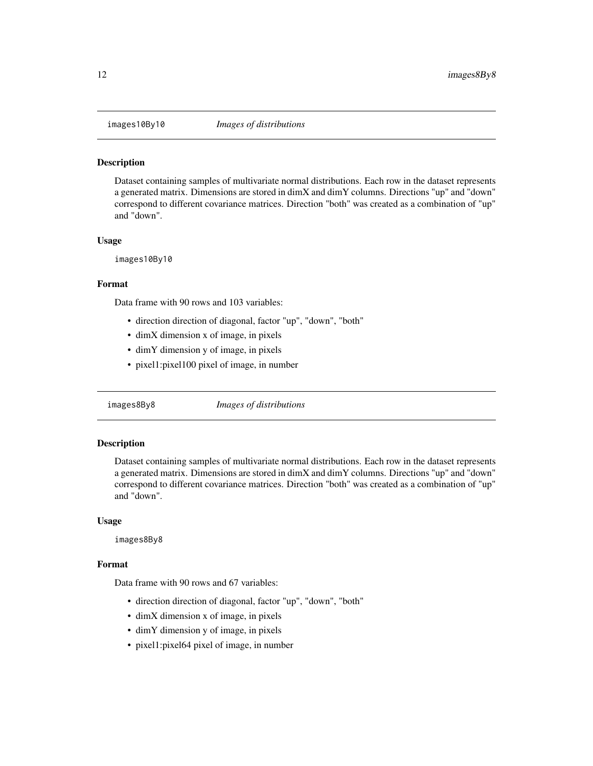<span id="page-11-0"></span>

Dataset containing samples of multivariate normal distributions. Each row in the dataset represents a generated matrix. Dimensions are stored in dimX and dimY columns. Directions "up" and "down" correspond to different covariance matrices. Direction "both" was created as a combination of "up" and "down".

#### Usage

images10By10

#### Format

Data frame with 90 rows and 103 variables:

- direction direction of diagonal, factor "up", "down", "both"
- dimX dimension x of image, in pixels
- dimY dimension y of image, in pixels
- pixel1:pixel100 pixel of image, in number

images8By8 *Images of distributions*

#### **Description**

Dataset containing samples of multivariate normal distributions. Each row in the dataset represents a generated matrix. Dimensions are stored in dimX and dimY columns. Directions "up" and "down" correspond to different covariance matrices. Direction "both" was created as a combination of "up" and "down".

#### Usage

images8By8

### Format

Data frame with 90 rows and 67 variables:

- direction direction of diagonal, factor "up", "down", "both"
- dimX dimension x of image, in pixels
- dimY dimension y of image, in pixels
- pixel1:pixel64 pixel of image, in number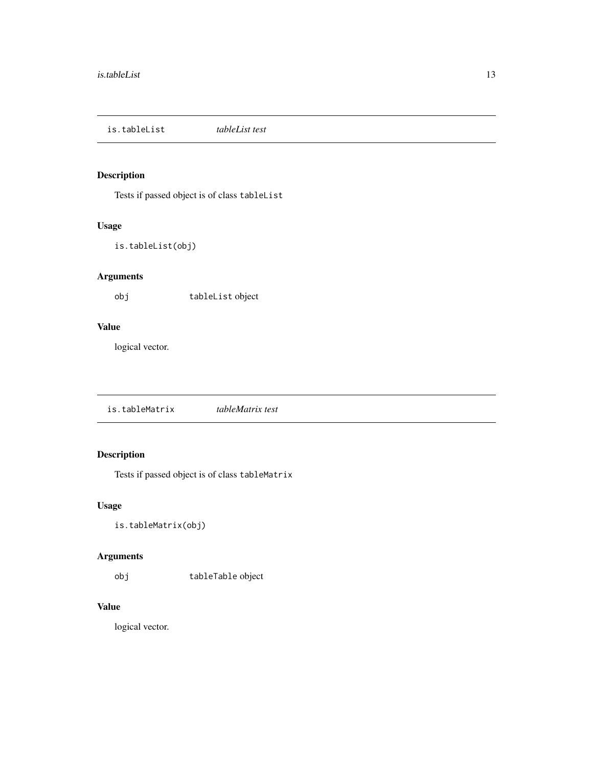<span id="page-12-0"></span>is.tableList *tableList test*

### Description

Tests if passed object is of class tableList

### Usage

```
is.tableList(obj)
```
### Arguments

obj tableList object

#### Value

logical vector.

is.tableMatrix *tableMatrix test*

### Description

Tests if passed object is of class tableMatrix

### Usage

```
is.tableMatrix(obj)
```
### Arguments

obj tableTable object

### Value

logical vector.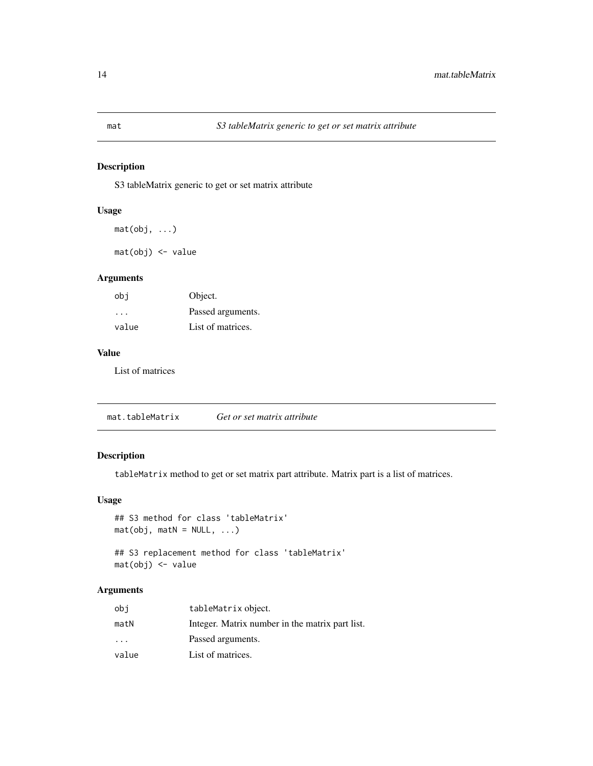S3 tableMatrix generic to get or set matrix attribute

### Usage

 $mat(obj, ...)$ 

mat(obj) <- value

### Arguments

| obi   | Object.           |
|-------|-------------------|
| .     | Passed arguments. |
| value | List of matrices. |

### Value

List of matrices

mat.tableMatrix *Get or set matrix attribute*

### Description

tableMatrix method to get or set matrix part attribute. Matrix part is a list of matrices.

### Usage

```
## S3 method for class 'tableMatrix'
mat(obj, math = NULL, ...)## S3 replacement method for class 'tableMatrix'
```
mat(obj) <- value

### Arguments

| obi                     | tableMatrix object.                             |
|-------------------------|-------------------------------------------------|
| matN                    | Integer. Matrix number in the matrix part list. |
| $\cdot$ $\cdot$ $\cdot$ | Passed arguments.                               |
| value                   | List of matrices.                               |

<span id="page-13-0"></span>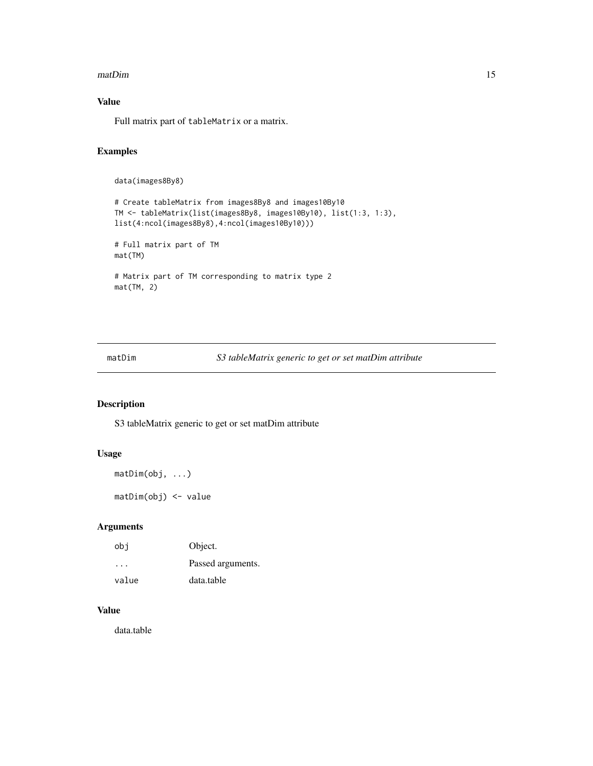#### <span id="page-14-0"></span>matDim 15

### Value

Full matrix part of tableMatrix or a matrix.

### Examples

```
data(images8By8)
```

```
# Create tableMatrix from images8By8 and images10By10
TM <- tableMatrix(list(images8By8, images10By10), list(1:3, 1:3),
list(4:ncol(images8By8),4:ncol(images10By10)))
# Full matrix part of TM
mat(TM)
# Matrix part of TM corresponding to matrix type 2
mat(TM, 2)
```
matDim *S3 tableMatrix generic to get or set matDim attribute*

### Description

S3 tableMatrix generic to get or set matDim attribute

### Usage

```
matDim(obj, ...)
```
matDim(obj) <- value

### Arguments

| obi                     | Object.           |
|-------------------------|-------------------|
| $\cdot$ $\cdot$ $\cdot$ | Passed arguments. |
| value                   | data.table        |

### Value

data.table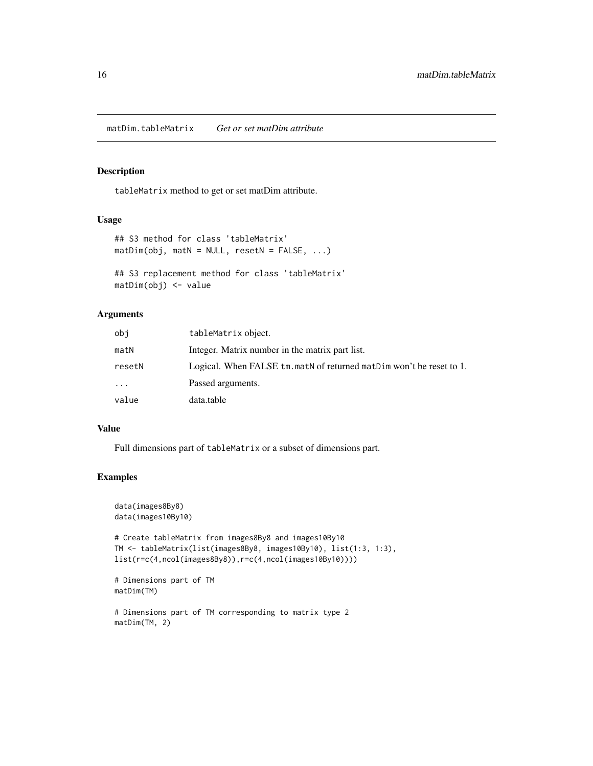<span id="page-15-0"></span>matDim.tableMatrix *Get or set matDim attribute*

#### Description

tableMatrix method to get or set matDim attribute.

#### Usage

```
## S3 method for class 'tableMatrix'
math(obj, matN = NULL, resetN = FALSE, ...)
```

```
## S3 replacement method for class 'tableMatrix'
matDim(obj) <- value
```
### Arguments

| obi    | tableMatrix object.                                                  |
|--------|----------------------------------------------------------------------|
| matN   | Integer. Matrix number in the matrix part list.                      |
| resetN | Logical. When FALSE tm. matN of returned matDim won't be reset to 1. |
| .      | Passed arguments.                                                    |
| value  | data.table                                                           |

#### Value

Full dimensions part of tableMatrix or a subset of dimensions part.

#### Examples

matDim(TM, 2)

```
data(images8By8)
data(images10By10)
# Create tableMatrix from images8By8 and images10By10
TM <- tableMatrix(list(images8By8, images10By10), list(1:3, 1:3),
list(r=c(4,ncol(images8By8)),r=c(4,ncol(images10By10))))
# Dimensions part of TM
matDim(TM)
# Dimensions part of TM corresponding to matrix type 2
```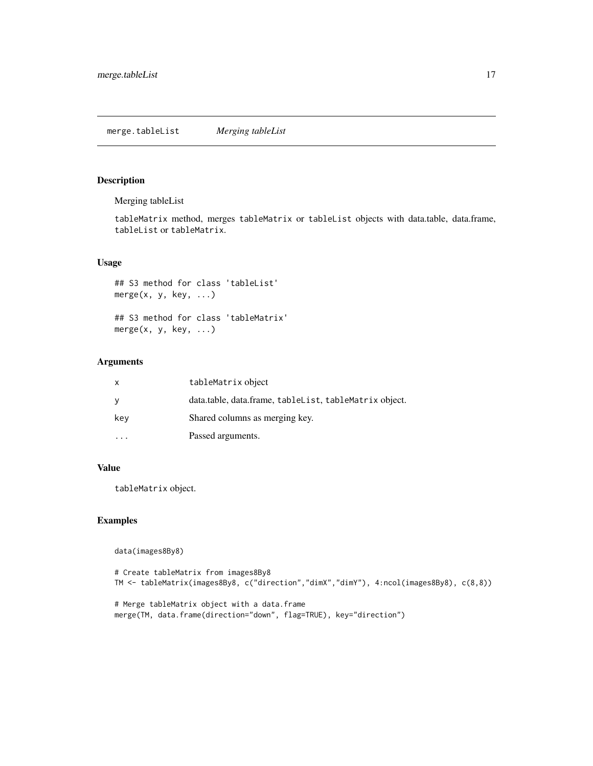<span id="page-16-1"></span><span id="page-16-0"></span>Merging tableList

tableMatrix method, merges tableMatrix or tableList objects with data.table, data.frame, tableList or tableMatrix.

### Usage

```
## S3 method for class 'tableList'
merge(x, y, key, ...)## S3 method for class 'tableMatrix'
merge(x, y, key, ...)
```
### Arguments

| X   | tableMatrix object                                     |
|-----|--------------------------------------------------------|
| y   | data.table, data.frame, tableList, tableMatrix object. |
| key | Shared columns as merging key.                         |
|     | Passed arguments.                                      |

### Value

tableMatrix object.

### Examples

data(images8By8)

```
# Create tableMatrix from images8By8
TM <- tableMatrix(images8By8, c("direction","dimX","dimY"), 4:ncol(images8By8), c(8,8))
```

```
# Merge tableMatrix object with a data.frame
merge(TM, data.frame(direction="down", flag=TRUE), key="direction")
```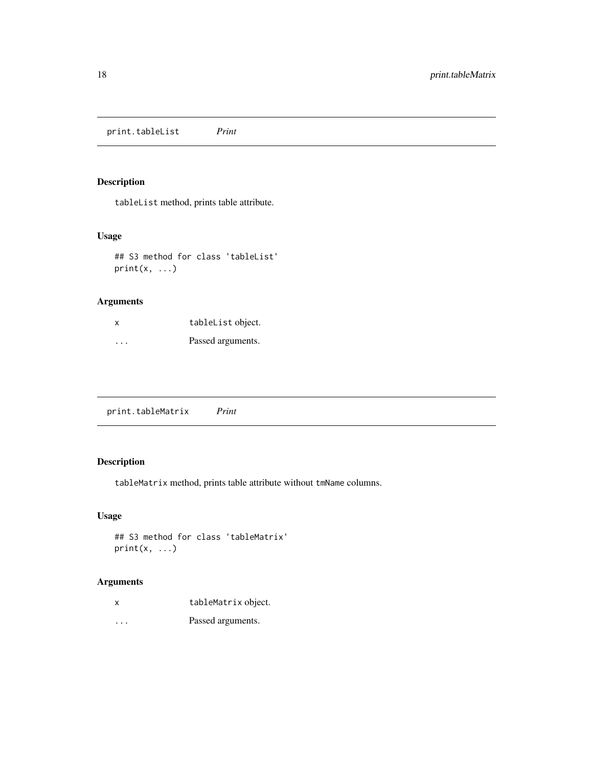<span id="page-17-0"></span>print.tableList *Print*

### Description

tableList method, prints table attribute.

### Usage

## S3 method for class 'tableList'  $print(x, \ldots)$ 

### Arguments

| x       | tableList object. |
|---------|-------------------|
| $\cdot$ | Passed arguments. |

print.tableMatrix *Print*

### Description

tableMatrix method, prints table attribute without tmName columns.

### Usage

```
## S3 method for class 'tableMatrix'
print(x, \ldots)
```
### Arguments

| X        | tableMatrix object. |
|----------|---------------------|
| $\cdots$ | Passed arguments.   |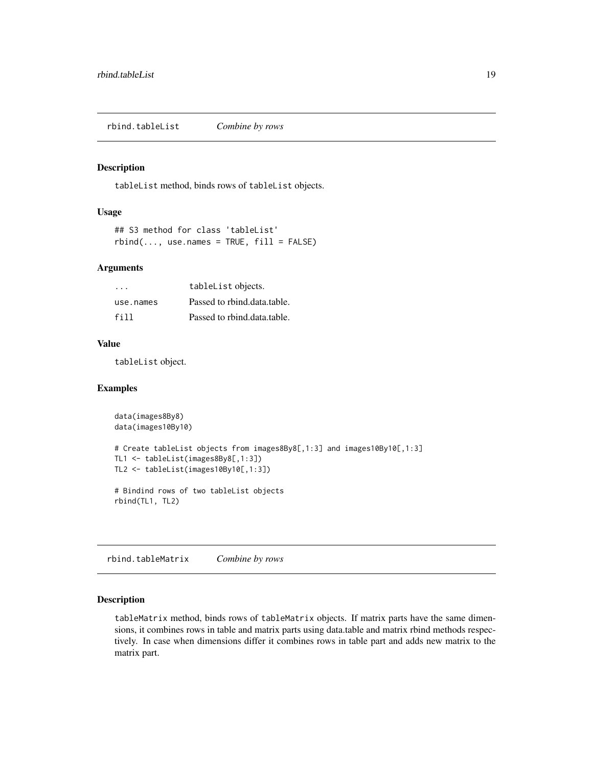<span id="page-18-1"></span><span id="page-18-0"></span>rbind.tableList *Combine by rows*

#### Description

tableList method, binds rows of tableList objects.

#### Usage

```
## S3 method for class 'tableList'
rbind(..., use.name = TRUE, fill = FALSE)
```
#### Arguments

| .         | tableList objects.          |
|-----------|-----------------------------|
| use.names | Passed to rhind.data.table. |
| fill      | Passed to rhind.data.table. |

### Value

tableList object.

### Examples

```
data(images8By8)
data(images10By10)
# Create tableList objects from images8By8[,1:3] and images10By10[,1:3]
TL1 <- tableList(images8By8[,1:3])
TL2 <- tableList(images10By10[,1:3])
# Bindind rows of two tableList objects
rbind(TL1, TL2)
```
<span id="page-18-2"></span>rbind.tableMatrix *Combine by rows*

#### Description

tableMatrix method, binds rows of tableMatrix objects. If matrix parts have the same dimensions, it combines rows in table and matrix parts using data.table and matrix rbind methods respectively. In case when dimensions differ it combines rows in table part and adds new matrix to the matrix part.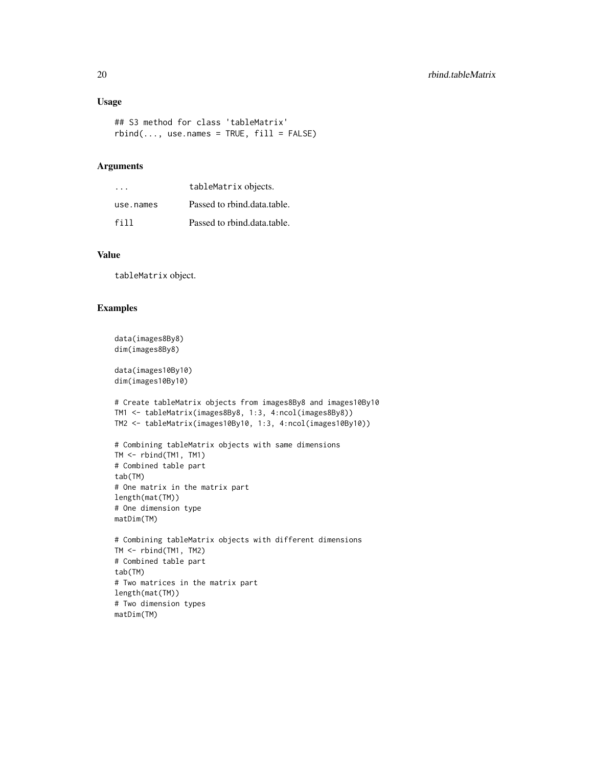### Usage

```
## S3 method for class 'tableMatrix'
rbind(..., use.name = TRUE, fill = FALSE)
```
### Arguments

| .         | tableMatrix objects.        |
|-----------|-----------------------------|
| use.names | Passed to rhind.data.table. |
| fill      | Passed to rhind.data.table. |

### Value

tableMatrix object.

### Examples

```
data(images8By8)
dim(images8By8)
```
data(images10By10) dim(images10By10)

```
# Create tableMatrix objects from images8By8 and images10By10
TM1 <- tableMatrix(images8By8, 1:3, 4:ncol(images8By8))
TM2 <- tableMatrix(images10By10, 1:3, 4:ncol(images10By10))
```

```
# Combining tableMatrix objects with same dimensions
TM <- rbind(TM1, TM1)
# Combined table part
tab(TM)
# One matrix in the matrix part
length(mat(TM))
# One dimension type
matDim(TM)
```

```
# Combining tableMatrix objects with different dimensions
TM <- rbind(TM1, TM2)
# Combined table part
tab(TM)
# Two matrices in the matrix part
length(mat(TM))
# Two dimension types
matDim(TM)
```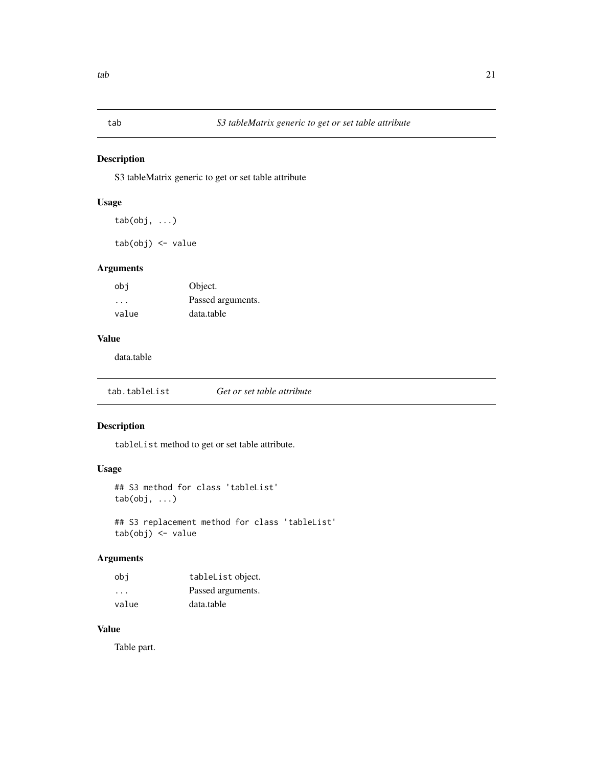<span id="page-20-0"></span>

S3 tableMatrix generic to get or set table attribute

### Usage

tab(obj, ...)

tab(obj) <- value

### Arguments

| obi                     | Object.           |
|-------------------------|-------------------|
| $\cdot$ $\cdot$ $\cdot$ | Passed arguments. |
| value                   | data.table        |

### Value

data.table

tab.tableList *Get or set table attribute*

### Description

tableList method to get or set table attribute.

### Usage

```
## S3 method for class 'tableList'
tab(obj, ...)
```

```
## S3 replacement method for class 'tableList'
tab(obj) <- value
```
### Arguments

| obi                     | tableList object. |
|-------------------------|-------------------|
| $\cdot$ $\cdot$ $\cdot$ | Passed arguments. |
| value                   | data.table        |

### Value

Table part.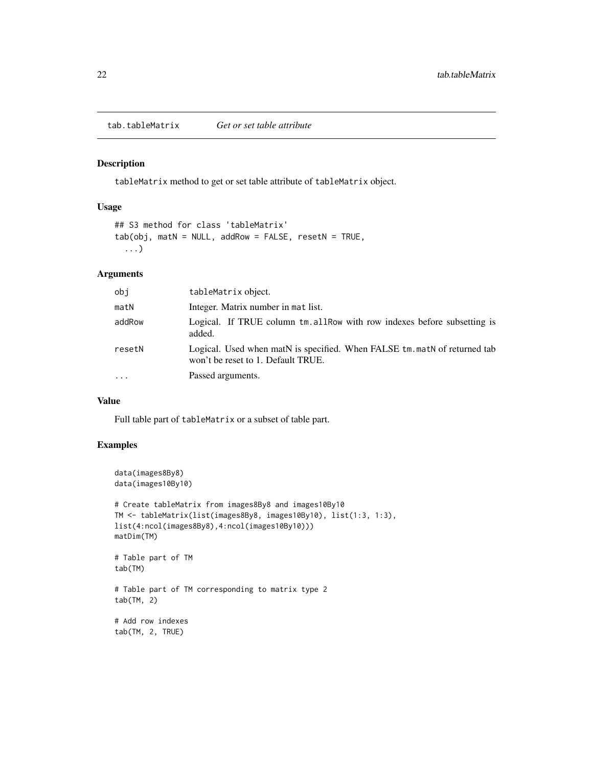<span id="page-21-0"></span>tab.tableMatrix *Get or set table attribute*

#### Description

tableMatrix method to get or set table attribute of tableMatrix object.

### Usage

```
## S3 method for class 'tableMatrix'
tab(obj, math = NULL, addRow = FALSE, resetN = TRUE,...)
```
### Arguments

| obj    | tableMatrix object.                                                                                             |
|--------|-----------------------------------------------------------------------------------------------------------------|
| matN   | Integer. Matrix number in mat list.                                                                             |
| addRow | Logical. If TRUE column tm. allRow with row indexes before subsetting is<br>added.                              |
| resetN | Logical. Used when matN is specified. When FALSE tm. matN of returned tab<br>won't be reset to 1. Default TRUE. |
| .      | Passed arguments.                                                                                               |
|        |                                                                                                                 |

### Value

Full table part of tableMatrix or a subset of table part.

### Examples

```
data(images8By8)
data(images10By10)
# Create tableMatrix from images8By8 and images10By10
TM <- tableMatrix(list(images8By8, images10By10), list(1:3, 1:3),
list(4:ncol(images8By8),4:ncol(images10By10)))
matDim(TM)
# Table part of TM
tab(TM)
# Table part of TM corresponding to matrix type 2
tab(TM, 2)
# Add row indexes
tab(TM, 2, TRUE)
```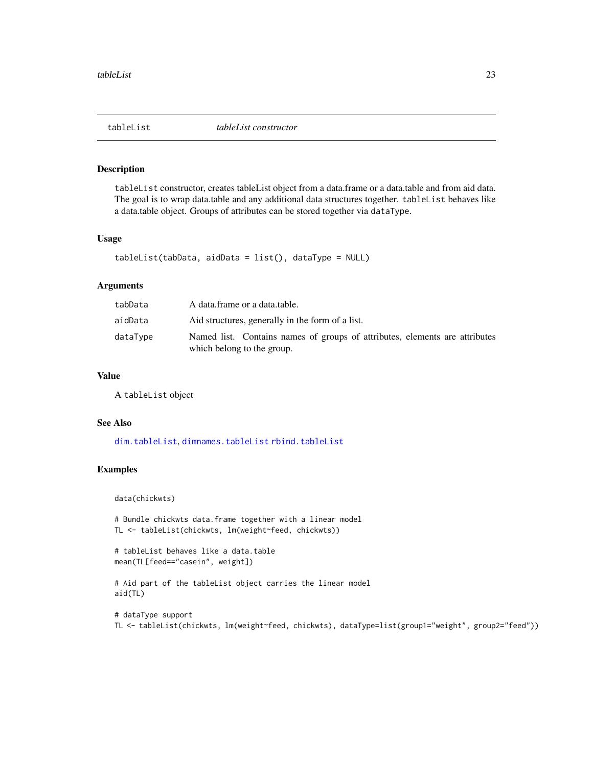<span id="page-22-0"></span>

tableList constructor, creates tableList object from a data.frame or a data.table and from aid data. The goal is to wrap data.table and any additional data structures together. tableList behaves like a data.table object. Groups of attributes can be stored together via dataType.

### Usage

```
tableList(tabData, aidData = list(), dataType = NULL)
```
#### Arguments

| tabData  | A data.frame or a data.table.                                                                             |
|----------|-----------------------------------------------------------------------------------------------------------|
| aidData  | Aid structures, generally in the form of a list.                                                          |
| dataType | Named list. Contains names of groups of attributes, elements are attributes<br>which belong to the group. |

### Value

A tableList object

#### See Also

[dim.tableList](#page-5-1), [dimnames.tableList](#page-6-1) [rbind.tableList](#page-18-1)

#### Examples

data(chickwts)

```
# Bundle chickwts data.frame together with a linear model
TL <- tableList(chickwts, lm(weight~feed, chickwts))
```

```
# tableList behaves like a data.table
mean(TL[feed=="casein", weight])
```

```
# Aid part of the tableList object carries the linear model
aid(TL)
```

```
# dataType support
TL <- tableList(chickwts, lm(weight~feed, chickwts), dataType=list(group1="weight", group2="feed"))
```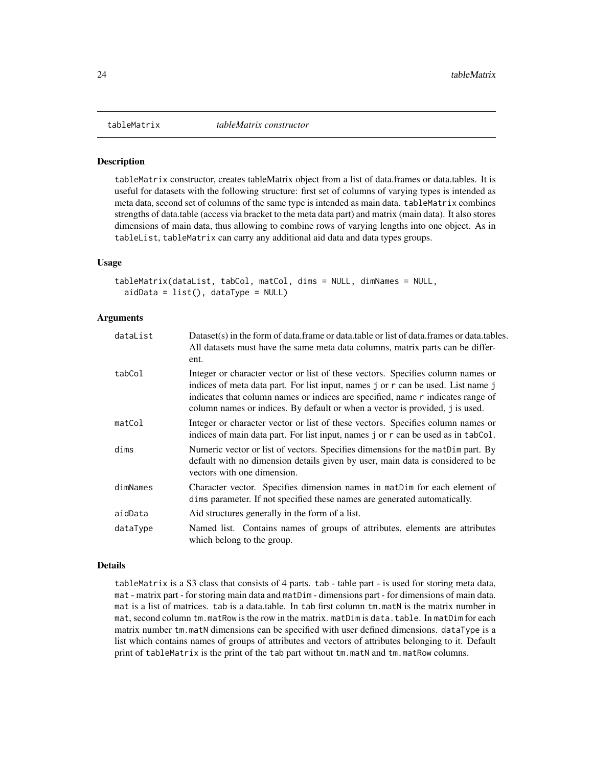<span id="page-23-0"></span>

tableMatrix constructor, creates tableMatrix object from a list of data.frames or data.tables. It is useful for datasets with the following structure: first set of columns of varying types is intended as meta data, second set of columns of the same type is intended as main data. tableMatrix combines strengths of data.table (access via bracket to the meta data part) and matrix (main data). It also stores dimensions of main data, thus allowing to combine rows of varying lengths into one object. As in tableList, tableMatrix can carry any additional aid data and data types groups.

#### Usage

```
tableMatrix(dataList, tabCol, matCol, dims = NULL, dimNames = NULL,
  aidData = list(), dataType = NULL)
```
#### **Arguments**

| dataList | Dataset(s) in the form of data.frame or data.table or list of data.frames or data.tables.<br>All datasets must have the same meta data columns, matrix parts can be differ-<br>ent.                                                                                                                                                    |
|----------|----------------------------------------------------------------------------------------------------------------------------------------------------------------------------------------------------------------------------------------------------------------------------------------------------------------------------------------|
| tabCol   | Integer or character vector or list of these vectors. Specifies column names or<br>indices of meta data part. For list input, names j or r can be used. List name j<br>indicates that column names or indices are specified, name r indicates range of<br>column names or indices. By default or when a vector is provided, j is used. |
| matCol   | Integer or character vector or list of these vectors. Specifies column names or<br>indices of main data part. For list input, names j or r can be used as in tabCol.                                                                                                                                                                   |
| dims     | Numeric vector or list of vectors. Specifies dimensions for the matDim part. By<br>default with no dimension details given by user, main data is considered to be<br>vectors with one dimension.                                                                                                                                       |
| dimNames | Character vector. Specifies dimension names in matDim for each element of<br>dims parameter. If not specified these names are generated automatically.                                                                                                                                                                                 |
| aidData  | Aid structures generally in the form of a list.                                                                                                                                                                                                                                                                                        |
| dataType | Named list. Contains names of groups of attributes, elements are attributes<br>which belong to the group.                                                                                                                                                                                                                              |

#### Details

tableMatrix is a S3 class that consists of 4 parts. tab - table part - is used for storing meta data, mat - matrix part - for storing main data and matDim - dimensions part - for dimensions of main data. mat is a list of matrices. tab is a data.table. In tab first column tm.matN is the matrix number in mat, second column tm.matRow is the row in the matrix. matDim is data.table. In matDim for each matrix number tm.matN dimensions can be specified with user defined dimensions. dataType is a list which contains names of groups of attributes and vectors of attributes belonging to it. Default print of tableMatrix is the print of the tab part without  $tm.matN$  and  $tm.matRow$  columns.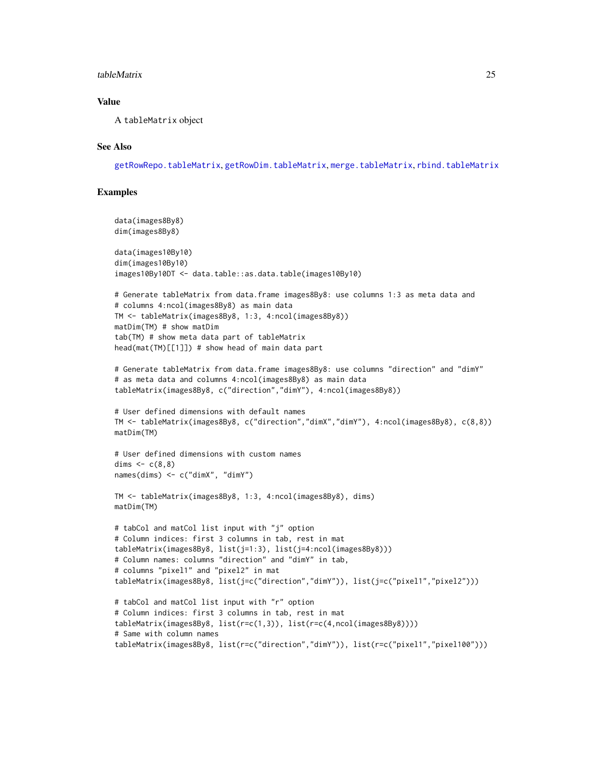#### <span id="page-24-0"></span>tableMatrix 25

### Value

A tableMatrix object

### See Also

[getRowRepo.tableMatrix](#page-10-1), [getRowDim.tableMatrix](#page-8-1), [merge.tableMatrix](#page-16-1), [rbind.tableMatrix](#page-18-2)

### Examples

```
data(images8By8)
dim(images8By8)
data(images10By10)
dim(images10By10)
images10By10DT <- data.table::as.data.table(images10By10)
# Generate tableMatrix from data.frame images8By8: use columns 1:3 as meta data and
# columns 4:ncol(images8By8) as main data
TM <- tableMatrix(images8By8, 1:3, 4:ncol(images8By8))
matDim(TM) # show matDim
tab(TM) # show meta data part of tableMatrix
head(mat(TM)[1]]) # show head of main data part
# Generate tableMatrix from data.frame images8By8: use columns "direction" and "dimY"
# as meta data and columns 4:ncol(images8By8) as main data
tableMatrix(images8By8, c("direction","dimY"), 4:ncol(images8By8))
# User defined dimensions with default names
TM <- tableMatrix(images8By8, c("direction","dimX","dimY"), 4:ncol(images8By8), c(8,8))
matDim(TM)
# User defined dimensions with custom names
dims \leq c(8,8)names(dims) <- c("dimX", "dimY")
TM <- tableMatrix(images8By8, 1:3, 4:ncol(images8By8), dims)
matDim(TM)
# tabCol and matCol list input with "j" option
# Column indices: first 3 columns in tab, rest in mat
tableMatrix(images8By8, list(j=1:3), list(j=4:ncol(images8By8)))
# Column names: columns "direction" and "dimY" in tab,
# columns "pixel1" and "pixel2" in mat
tableMatrix(images8By8, list(j=c("direction","dimY")), list(j=c("pixel1","pixel2")))
# tabCol and matCol list input with "r" option
# Column indices: first 3 columns in tab, rest in mat
tableMatrix(images8By8, list(r=c(1,3)), list(r=c(4,ncol(images8By8))))
# Same with column names
tableMatrix(images8By8, list(r=c("direction","dimY")), list(r=c("pixel1","pixel100")))
```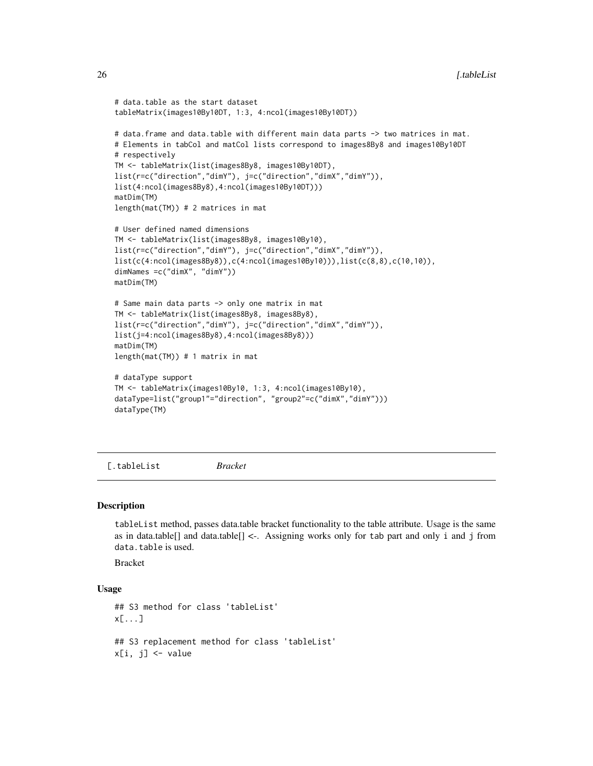```
# data.table as the start dataset
tableMatrix(images10By10DT, 1:3, 4:ncol(images10By10DT))
# data.frame and data.table with different main data parts -> two matrices in mat.
# Elements in tabCol and matCol lists correspond to images8By8 and images10By10DT
# respectively
TM <- tableMatrix(list(images8By8, images10By10DT),
list(r=c("direction","dimY"), j=c("direction","dimX","dimY")),
list(4:ncol(images8By8),4:ncol(images10By10DT)))
matDim(TM)
length(mat(TM)) # 2 matrices in mat
# User defined named dimensions
TM <- tableMatrix(list(images8By8, images10By10),
list(r=c("direction","dimY"), j=c("direction","dimX","dimY")),
list(c(4:ncol(images8By8)),c(4:ncol(images10By10))),list(c(8,8),c(10,10)),
dimNames =c("dimX", "dimY"))
matDim(TM)
# Same main data parts -> only one matrix in mat
TM <- tableMatrix(list(images8By8, images8By8),
list(r=c("direction","dimY"), j=c("direction","dimX","dimY")),
list(j=4:ncol(images8By8),4:ncol(images8By8)))
matDim(TM)
length(mat(TM)) # 1 matrix in mat
# dataType support
TM <- tableMatrix(images10By10, 1:3, 4:ncol(images10By10),
dataType=list("group1"="direction", "group2"=c("dimX","dimY")))
dataType(TM)
```
[.tableList *Bracket*

#### Description

tableList method, passes data.table bracket functionality to the table attribute. Usage is the same as in data.table[] and data.table[]  $\lt\text{-}$ . Assigning works only for tab part and only i and j from data.table is used.

Bracket

#### Usage

```
## S3 method for class 'tableList'
x[...]
## S3 replacement method for class 'tableList'
x[i, j] <- value
```
<span id="page-25-0"></span>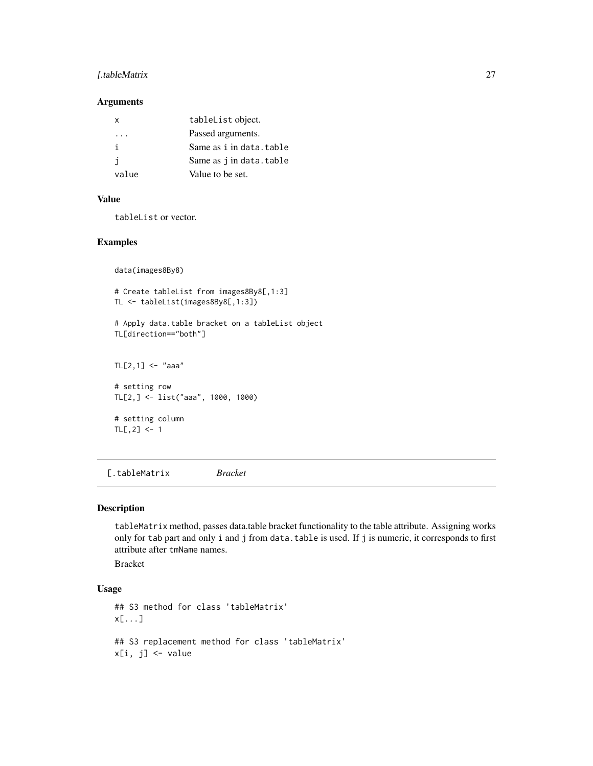### <span id="page-26-0"></span>[.tableMatrix 27

#### Arguments

| x        | tableList object.       |
|----------|-------------------------|
| $\cdots$ | Passed arguments.       |
| i        | Same as i in data.table |
| i        | Same as j in data.table |
| value    | Value to be set.        |

#### Value

tableList or vector.

#### Examples

```
data(images8By8)
# Create tableList from images8By8[,1:3]
TL <- tableList(images8By8[,1:3])
# Apply data.table bracket on a tableList object
TL[direction=="both"]
TL[2,1] <- "aaa"
# setting row
TL[2,] <- list("aaa", 1000, 1000)
# setting column
TL[, 2] <- 1
```
[.tableMatrix *Bracket*

#### Description

tableMatrix method, passes data.table bracket functionality to the table attribute. Assigning works only for tab part and only i and j from data.table is used. If j is numeric, it corresponds to first attribute after tmName names.

Bracket

### Usage

```
## S3 method for class 'tableMatrix'
x[...]
## S3 replacement method for class 'tableMatrix'
x[i, j] <- value
```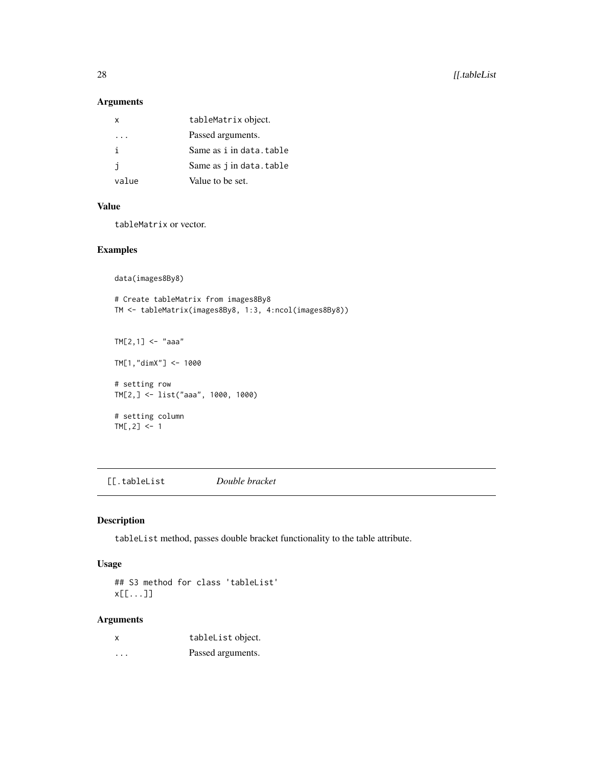### <span id="page-27-0"></span>Arguments

| х            | tableMatrix object.     |
|--------------|-------------------------|
| .            | Passed arguments.       |
| j.           | Same as i in data.table |
| $\mathbf{I}$ | Same as j in data.table |
| value        | Value to be set.        |
|              |                         |

### Value

tableMatrix or vector.

### Examples

```
data(images8By8)
```

```
# Create tableMatrix from images8By8
TM <- tableMatrix(images8By8, 1:3, 4:ncol(images8By8))
TM[2,1] <- "aaa"
TM[1,"dimX"] <- 1000
# setting row
TM[2,] <- list("aaa", 1000, 1000)
# setting column
TM[, 2] < -1
```
[[.tableList *Double bracket*

### Description

tableList method, passes double bracket functionality to the table attribute.

### Usage

## S3 method for class 'tableList' x[[...]]

#### Arguments

| X | tableList object. |
|---|-------------------|
| . | Passed arguments. |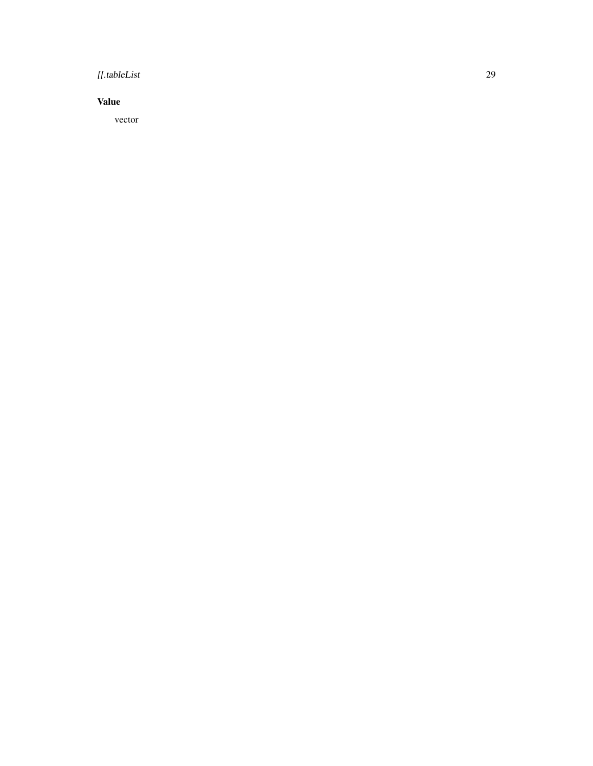### [[.tableList 29

### Value

vector